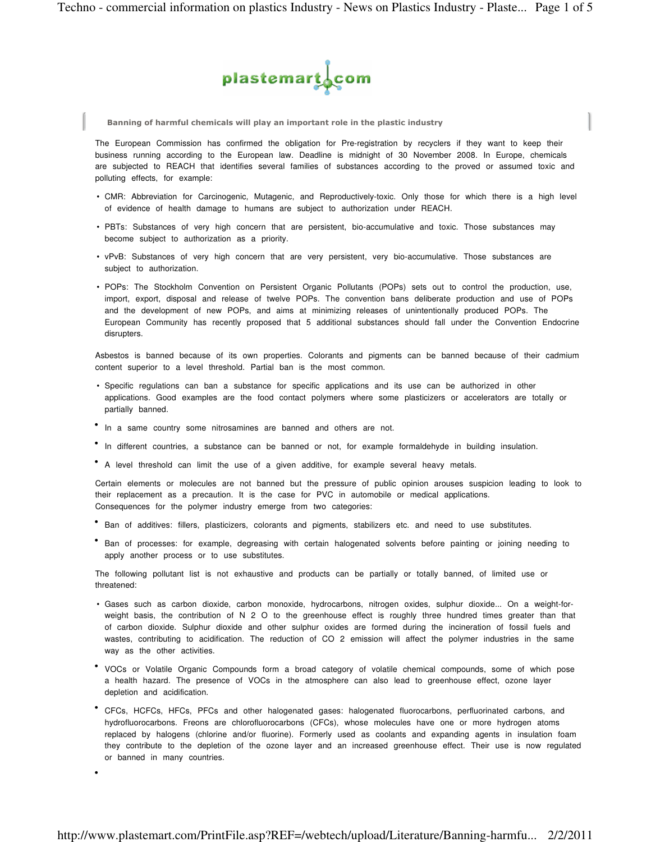

Banning of harmful chemicals will play an important role in the plastic industry

The European Commission has confirmed the obligation for Pre-registration by recyclers if they want to keep their business running according to the European law. Deadline is midnight of 30 November 2008. In Europe, chemicals are subjected to REACH that identifies several families of substances according to the proved or assumed toxic and polluting effects, for example:

- CMR: Abbreviation for Carcinogenic, Mutagenic, and Reproductively-toxic. Only those for which there is a high level of evidence of health damage to humans are subject to authorization under REACH.
- PBTs: Substances of very high concern that are persistent, bio-accumulative and toxic. Those substances may become subject to authorization as a priority.
- vPvB: Substances of very high concern that are very persistent, very bio-accumulative. Those substances are subject to authorization.
- POPs: The Stockholm Convention on Persistent Organic Pollutants (POPs) sets out to control the production, use, import, export, disposal and release of twelve POPs. The convention bans deliberate production and use of POPs and the development of new POPs, and aims at minimizing releases of unintentionally produced POPs. The European Community has recently proposed that 5 additional substances should fall under the Convention Endocrine disrupters.

Asbestos is banned because of its own properties. Colorants and pigments can be banned because of their cadmium content superior to a level threshold. Partial ban is the most common.

- Specific regulations can ban a substance for specific applications and its use can be authorized in other applications. Good examples are the food contact polymers where some plasticizers or accelerators are totally or partially banned.
- In a same country some nitrosamines are banned and others are not.

•

- In different countries, a substance can be banned or not, for example formaldehyde in building insulation.
- A level threshold can limit the use of a given additive, for example several heavy metals.

Certain elements or molecules are not banned but the pressure of public opinion arouses suspicion leading to look to their replacement as a precaution. It is the case for PVC in automobile or medical applications. Consequences for the polymer industry emerge from two categories:

- Ban of additives: fillers, plasticizers, colorants and pigments, stabilizers etc. and need to use substitutes.
- Ban of processes: for example, degreasing with certain halogenated solvents before painting or joining needing to apply another process or to use substitutes.

The following pollutant list is not exhaustive and products can be partially or totally banned, of limited use or threatened:

- Gases such as carbon dioxide, carbon monoxide, hydrocarbons, nitrogen oxides, sulphur dioxide... On a weight-forweight basis, the contribution of N 2 O to the greenhouse effect is roughly three hundred times greater than that of carbon dioxide. Sulphur dioxide and other sulphur oxides are formed during the incineration of fossil fuels and wastes, contributing to acidification. The reduction of CO 2 emission will affect the polymer industries in the same way as the other activities.
- VOCs or Volatile Organic Compounds form a broad category of volatile chemical compounds, some of which pose a health hazard. The presence of VOCs in the atmosphere can also lead to greenhouse effect, ozone layer depletion and acidification.
- CFCs, HCFCs, HFCs, PFCs and other halogenated gases: halogenated fluorocarbons, perfluorinated carbons, and hydrofluorocarbons. Freons are chlorofluorocarbons (CFCs), whose molecules have one or more hydrogen atoms replaced by halogens (chlorine and/or fluorine). Formerly used as coolants and expanding agents in insulation foam they contribute to the depletion of the ozone layer and an increased greenhouse effect. Their use is now regulated or banned in many countries.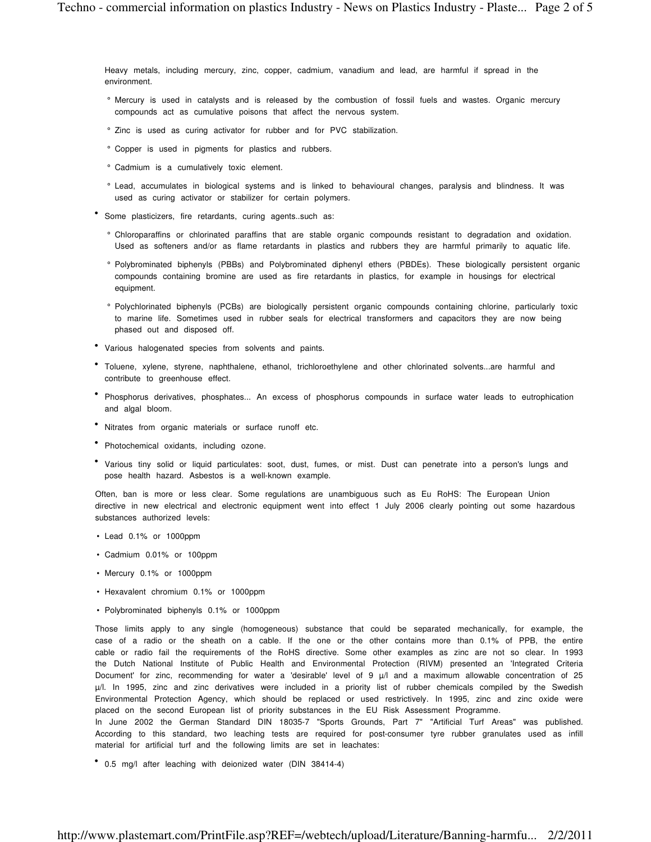Heavy metals, including mercury, zinc, copper, cadmium, vanadium and lead, are harmful if spread in the environment.

- ° Mercury is used in catalysts and is released by the combustion of fossil fuels and wastes. Organic mercury compounds act as cumulative poisons that affect the nervous system.
- ° Zinc is used as curing activator for rubber and for PVC stabilization.
- ° Copper is used in pigments for plastics and rubbers.
- ° Cadmium is a cumulatively toxic element.
- ° Lead, accumulates in biological systems and is linked to behavioural changes, paralysis and blindness. It was used as curing activator or stabilizer for certain polymers.
- Some plasticizers, fire retardants, curing agents..such as:
	- ° Chloroparaffins or chlorinated paraffins that are stable organic compounds resistant to degradation and oxidation. Used as softeners and/or as flame retardants in plastics and rubbers they are harmful primarily to aquatic life.
	- ° Polybrominated biphenyls (PBBs) and Polybrominated diphenyl ethers (PBDEs). These biologically persistent organic compounds containing bromine are used as fire retardants in plastics, for example in housings for electrical equipment.
	- ° Polychlorinated biphenyls (PCBs) are biologically persistent organic compounds containing chlorine, particularly toxic to marine life. Sometimes used in rubber seals for electrical transformers and capacitors they are now being phased out and disposed off.
- Various halogenated species from solvents and paints.
- Toluene, xylene, styrene, naphthalene, ethanol, trichloroethylene and other chlorinated solvents...are harmful and contribute to greenhouse effect.
- Phosphorus derivatives, phosphates... An excess of phosphorus compounds in surface water leads to eutrophication and algal bloom.
- Nitrates from organic materials or surface runoff etc.
- Photochemical oxidants, including ozone.
- Various tiny solid or liquid particulates: soot, dust, fumes, or mist. Dust can penetrate into a person's lungs and pose health hazard. Asbestos is a well-known example.

Often, ban is more or less clear. Some regulations are unambiguous such as Eu RoHS: The European Union directive in new electrical and electronic equipment went into effect 1 July 2006 clearly pointing out some hazardous substances authorized levels:

- Lead 0.1% or 1000ppm
- Cadmium 0.01% or 100ppm
- Mercury 0.1% or 1000ppm
- Hexavalent chromium 0.1% or 1000ppm
- Polybrominated biphenyls 0.1% or 1000ppm

Those limits apply to any single (homogeneous) substance that could be separated mechanically, for example, the case of a radio or the sheath on a cable. If the one or the other contains more than 0.1% of PPB, the entire cable or radio fail the requirements of the RoHS directive. Some other examples as zinc are not so clear. In 1993 the Dutch National Institute of Public Health and Environmental Protection (RIVM) presented an 'Integrated Criteria Document' for zinc, recommending for water a 'desirable' level of 9  $\mu$ /l and a maximum allowable concentration of 25 µ/l. In 1995, zinc and zinc derivatives were included in a priority list of rubber chemicals compiled by the Swedish Environmental Protection Agency, which should be replaced or used restrictively. In 1995, zinc and zinc oxide were placed on the second European list of priority substances in the EU Risk Assessment Programme.

In June 2002 the German Standard DIN 18035-7 "Sports Grounds, Part 7" "Artificial Turf Areas" was published. According to this standard, two leaching tests are required for post-consumer tyre rubber granulates used as infill material for artificial turf and the following limits are set in leachates:

• 0.5 mg/l after leaching with deionized water (DIN 38414-4)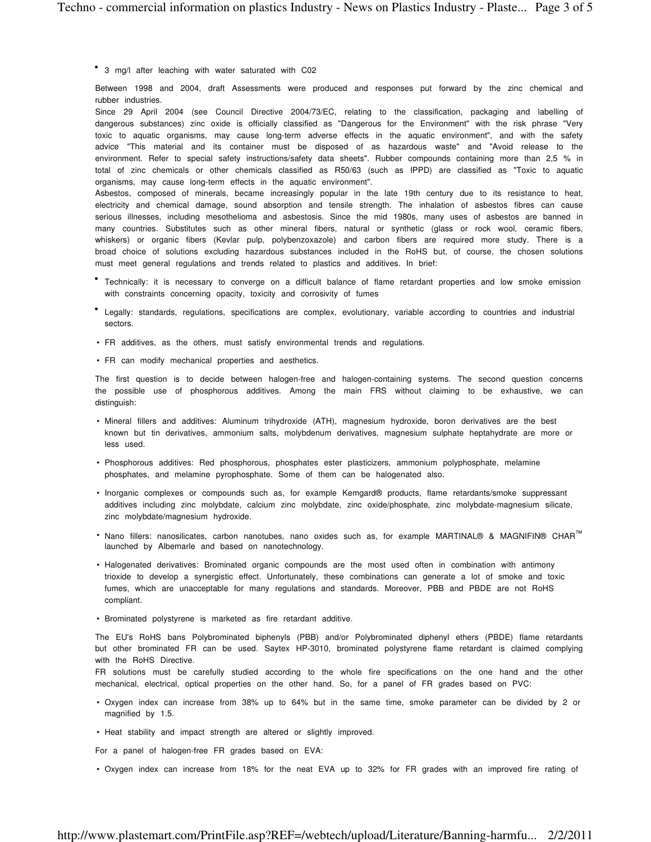• 3 mg/l after leaching with water saturated with C02

Between 1998 and 2004, draft Assessments were produced and responses put forward by the zinc chemical and rubber industries.

Since 29 April 2004 (see Council Directive 2004/73/EC, relating to the classification, packaging and labelling of dangerous substances) zinc oxide is officially classified as "Dangerous for the Environment" with the risk phrase "Very toxic to aquatic organisms, may cause long-term adverse effects in the aquatic environment", and with the safety advice "This material and its container must be disposed of as hazardous waste" and "Avoid release to the environment. Refer to special safety instructions/safety data sheets". Rubber compounds containing more than 2,5 % in total of zinc chemicals or other chemicals classified as R50/63 (such as IPPD) are classified as "Toxic to aquatic organisms, may cause long-term effects in the aquatic environment".

Asbestos, composed of minerals, became increasingly popular in the late 19th century due to its resistance to heat, electricity and chemical damage, sound absorption and tensile strength. The inhalation of asbestos fibres can cause serious illnesses, including mesothelioma and asbestosis. Since the mid 1980s, many uses of asbestos are banned in many countries. Substitutes such as other mineral fibers, natural or synthetic (glass or rock wool, ceramic fibers, whiskers) or organic fibers (Kevlar pulp, polybenzoxazole) and carbon fibers are required more study. There is a broad choice of solutions excluding hazardous substances included in the RoHS but, of course, the chosen solutions must meet general regulations and trends related to plastics and additives. In brief:

- Technically: it is necessary to converge on a difficult balance of flame retardant properties and low smoke emission with constraints concerning opacity, toxicity and corrosivity of fumes
- Legally: standards, regulations, specifications are complex, evolutionary, variable according to countries and industrial sectors.
- FR additives, as the others, must satisfy environmental trends and regulations.
- FR can modify mechanical properties and aesthetics.

The first question is to decide between halogen-free and halogen-containing systems. The second question concerns the possible use of phosphorous additives. Among the main FRS without claiming to be exhaustive, we can distinguish:

- Mineral fillers and additives: Aluminum trihydroxide (ATH), magnesium hydroxide, boron derivatives are the best known but tin derivatives, ammonium salts, molybdenum derivatives, magnesium sulphate heptahydrate are more or less used.
- Phosphorous additives: Red phosphorous, phosphates ester plasticizers, ammonium polyphosphate, melamine phosphates, and melamine pyrophosphate. Some of them can be halogenated also.
- Inorganic complexes or compounds such as, for example Kemgard® products, flame retardants/smoke suppressant additives including zinc molybdate, calcium zinc molybdate, zinc oxide/phosphate, zinc molybdate-magnesium silicate, zinc molybdate/magnesium hydroxide.
- Nano fillers: nanosilicates, carbon nanotubes, nano oxides such as, for example MARTINAL® & MAGNIFIN® CHAR™ launched by Albemarle and based on nanotechnology.
- Halogenated derivatives: Brominated organic compounds are the most used often in combination with antimony trioxide to develop a synergistic effect. Unfortunately, these combinations can generate a lot of smoke and toxic fumes, which are unacceptable for many regulations and standards. Moreover, PBB and PBDE are not RoHS compliant.
- Brominated polystyrene is marketed as fire retardant additive.

The EU's RoHS bans Polybrominated biphenyls (PBB) and/or Polybrominated diphenyl ethers (PBDE) flame retardants but other brominated FR can be used. Saytex HP-3010, brominated polystyrene flame retardant is claimed complying with the RoHS Directive.

FR solutions must be carefully studied according to the whole fire specifications on the one hand and the other mechanical, electrical, optical properties on the other hand. So, for a panel of FR grades based on PVC:

- Oxygen index can increase from 38% up to 64% but in the same time, smoke parameter can be divided by 2 or magnified by 1.5.
- Heat stability and impact strength are altered or slightly improved.

For a panel of halogen-free FR grades based on EVA:

• Oxygen index can increase from 18% for the neat EVA up to 32% for FR grades with an improved fire rating of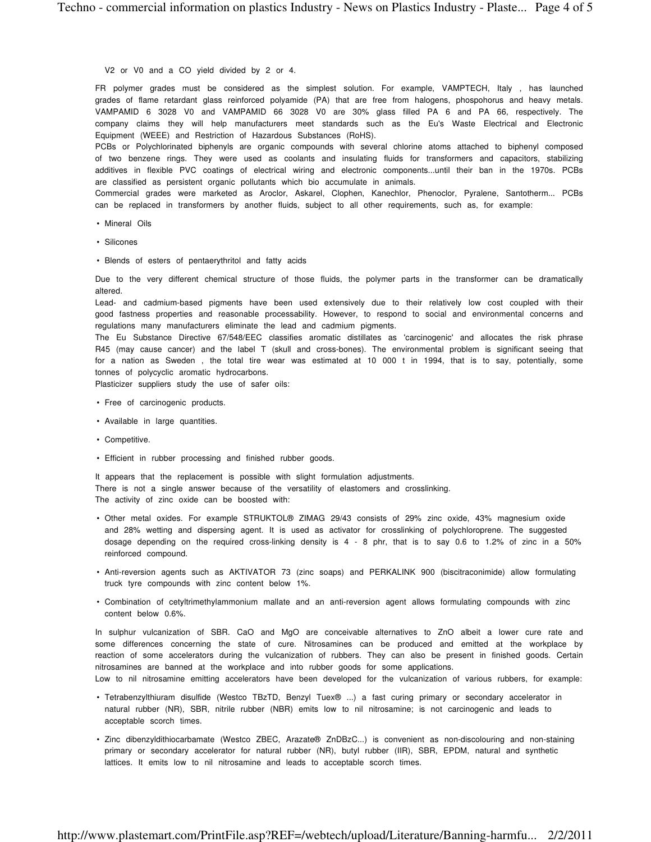V2 or V0 and a CO yield divided by 2 or 4.

FR polymer grades must be considered as the simplest solution. For example, VAMPTECH, Italy , has launched grades of flame retardant glass reinforced polyamide (PA) that are free from halogens, phospohorus and heavy metals. VAMPAMID 6 3028 V0 and VAMPAMID 66 3028 V0 are 30% glass filled PA 6 and PA 66, respectively. The company claims they will help manufacturers meet standards such as the Eu's Waste Electrical and Electronic Equipment (WEEE) and Restriction of Hazardous Substances (RoHS).

PCBs or Polychlorinated biphenyls are organic compounds with several chlorine atoms attached to biphenyl composed of two benzene rings. They were used as coolants and insulating fluids for transformers and capacitors, stabilizing additives in flexible PVC coatings of electrical wiring and electronic components...until their ban in the 1970s. PCBs are classified as persistent organic pollutants which bio accumulate in animals.

Commercial grades were marketed as Aroclor, Askarel, Clophen, Kanechlor, Phenoclor, Pyralene, Santotherm... PCBs can be replaced in transformers by another fluids, subject to all other requirements, such as, for example:

- Mineral Oils
- Silicones
- Blends of esters of pentaerythritol and fatty acids

Due to the very different chemical structure of those fluids, the polymer parts in the transformer can be dramatically altered.

Lead- and cadmium-based pigments have been used extensively due to their relatively low cost coupled with their good fastness properties and reasonable processability. However, to respond to social and environmental concerns and regulations many manufacturers eliminate the lead and cadmium pigments.

The Eu Substance Directive 67/548/EEC classifies aromatic distillates as 'carcinogenic' and allocates the risk phrase R45 (may cause cancer) and the label T (skull and cross-bones). The environmental problem is significant seeing that for a nation as Sweden , the total tire wear was estimated at 10 000 t in 1994, that is to say, potentially, some tonnes of polycyclic aromatic hydrocarbons.

Plasticizer suppliers study the use of safer oils:

- Free of carcinogenic products.
- Available in large quantities.

acceptable scorch times.

- Competitive.
- Efficient in rubber processing and finished rubber goods.

It appears that the replacement is possible with slight formulation adjustments. There is not a single answer because of the versatility of elastomers and crosslinking. The activity of zinc oxide can be boosted with:

- Other metal oxides. For example STRUKTOL® ZIMAG 29/43 consists of 29% zinc oxide, 43% magnesium oxide and 28% wetting and dispersing agent. It is used as activator for crosslinking of polychloroprene. The suggested dosage depending on the required cross-linking density is 4 - 8 phr, that is to say 0.6 to 1.2% of zinc in a 50% reinforced compound.
- Anti-reversion agents such as AKTIVATOR 73 (zinc soaps) and PERKALINK 900 (biscitraconimide) allow formulating truck tyre compounds with zinc content below 1%.
- Combination of cetyltrimethylammonium mallate and an anti-reversion agent allows formulating compounds with zinc content below 0.6%.

In sulphur vulcanization of SBR. CaO and MgO are conceivable alternatives to ZnO albeit a lower cure rate and some differences concerning the state of cure. Nitrosamines can be produced and emitted at the workplace by reaction of some accelerators during the vulcanization of rubbers. They can also be present in finished goods. Certain nitrosamines are banned at the workplace and into rubber goods for some applications. Low to nil nitrosamine emitting accelerators have been developed for the vulcanization of various rubbers, for example:

- Tetrabenzylthiuram disulfide (Westco TBzTD, Benzyl Tuex® ...) a fast curing primary or secondary accelerator in natural rubber (NR), SBR, nitrile rubber (NBR) emits low to nil nitrosamine; is not carcinogenic and leads to
- Zinc dibenzyldithiocarbamate (Westco ZBEC, Arazate® ZnDBzC...) is convenient as non-discolouring and non-staining primary or secondary accelerator for natural rubber (NR), butyl rubber (IIR), SBR, EPDM, natural and synthetic lattices. It emits low to nil nitrosamine and leads to acceptable scorch times.